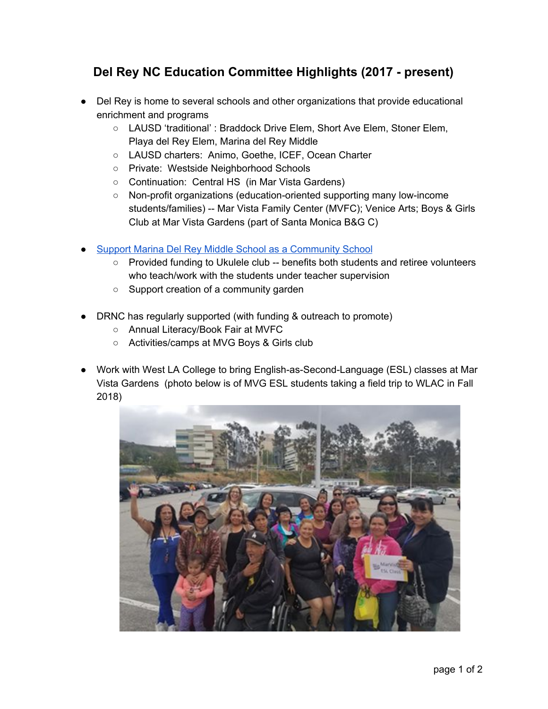## **Del Rey NC Education Committee Highlights (2017 - present)**

- Del Rey is home to several schools and other organizations that provide educational enrichment and programs
	- LAUSD 'traditional' : Braddock Drive Elem, Short Ave Elem, Stoner Elem, Playa del Rey Elem, Marina del Rey Middle
	- LAUSD charters: Animo, Goethe, ICEF, Ocean Charter
	- Private: Westside Neighborhood Schools
	- Continuation: Central HS (in Mar Vista Gardens)
	- Non-profit organizations (education-oriented supporting many low-income students/families) -- Mar Vista Family Center (MVFC); Venice Arts; Boys & Girls Club at Mar Vista Gardens (part of Santa Monica B&G C)
- Support Marina Del Rey Middle School as a [Community](https://drive.google.com/file/d/1KazuMR4Sr4WTcfWRsfkl_SLkqLhB2xOI/view?usp=sharing) School
	- Provided funding to Ukulele club -- benefits both students and retiree volunteers who teach/work with the students under teacher supervision
	- Support creation of a community garden
- DRNC has regularly supported (with funding & outreach to promote)
	- Annual Literacy/Book Fair at MVFC
	- Activities/camps at MVG Boys & Girls club
- Work with West LA College to bring English-as-Second-Language (ESL) classes at Mar Vista Gardens (photo below is of MVG ESL students taking a field trip to WLAC in Fall 2018)